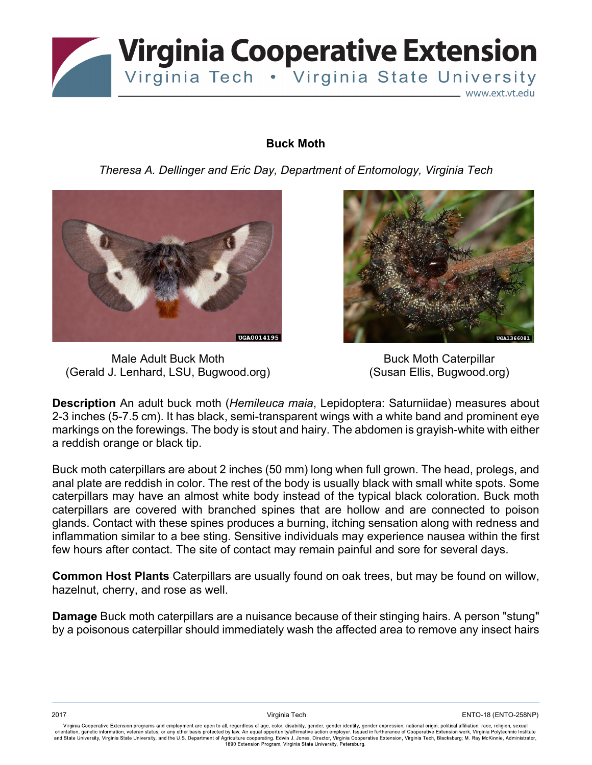

## **Buck Moth**

*Theresa A. Dellinger and Eric Day, Department of Entomology, Virginia Tech*



Male Adult Buck Moth (Gerald J. Lenhard, LSU, Bugwood.org)



Buck Moth Caterpillar (Susan Ellis, Bugwood.org)

**Description** An adult buck moth (*Hemileuca maia*, Lepidoptera: Saturniidae) measures about 2-3 inches (5-7.5 cm). It has black, semi-transparent wings with a white band and prominent eye markings on the forewings. The body is stout and hairy. The abdomen is grayish-white with either a reddish orange or black tip.

Buck moth caterpillars are about 2 inches (50 mm) long when full grown. The head, prolegs, and anal plate are reddish in color. The rest of the body is usually black with small white spots. Some caterpillars may have an almost white body instead of the typical black coloration. Buck moth caterpillars are covered with branched spines that are hollow and are connected to poison glands. Contact with these spines produces a burning, itching sensation along with redness and inflammation similar to a bee sting. Sensitive individuals may experience nausea within the first few hours after contact. The site of contact may remain painful and sore for several days.

**Common Host Plants** Caterpillars are usually found on oak trees, but may be found on willow, hazelnut, cherry, and rose as well.

**Damage** Buck moth caterpillars are a nuisance because of their stinging hairs. A person "stung" by a poisonous caterpillar should immediately wash the affected area to remove any insect hairs

Virginia Cooperative Extension programs and employment are open to all, regardless of age, color, disability, gender, gender identity, gender expression, national origin, political affiliation, race, religion, sexual and State University, Virginia State University, and the U.S. Department of Agriculture cooperating. Edwin J. Jones, Director, Virginia Cooperative Extension, Virginia Tech, Blacksburg; M. Ray McKinnie, Administrator,<br>1890